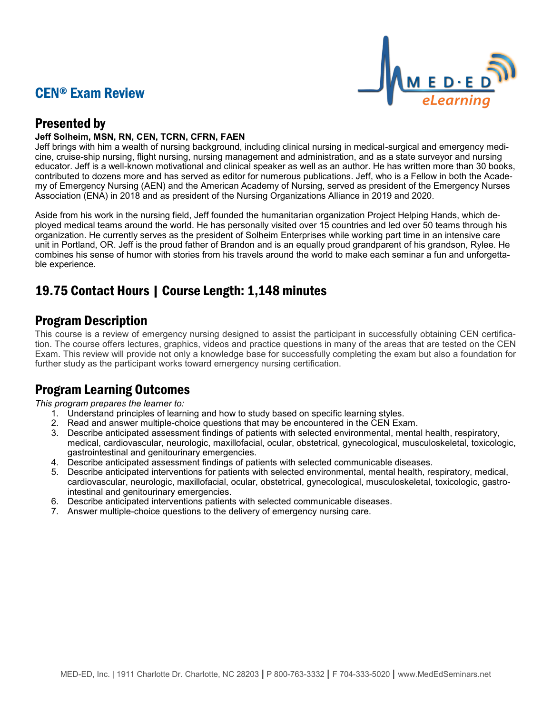# CEN® Exam Review



# Presented by

## **Jeff Solheim, MSN, RN, CEN, TCRN, CFRN, FAEN**

Jeff brings with him a wealth of nursing background, including clinical nursing in medical-surgical and emergency medicine, cruise-ship nursing, flight nursing, nursing management and administration, and as a state surveyor and nursing educator. Jeff is a well-known motivational and clinical speaker as well as an author. He has written more than 30 books, contributed to dozens more and has served as editor for numerous publications. Jeff, who is a Fellow in both the Academy of Emergency Nursing (AEN) and the American Academy of Nursing, served as president of the Emergency Nurses Association (ENA) in 2018 and as president of the Nursing Organizations Alliance in 2019 and 2020.

Aside from his work in the nursing field, Jeff founded the humanitarian organization Project Helping Hands, which deployed medical teams around the world. He has personally visited over 15 countries and led over 50 teams through his organization. He currently serves as the president of Solheim Enterprises while working part time in an intensive care unit in Portland, OR. Jeff is the proud father of Brandon and is an equally proud grandparent of his grandson, Rylee. He combines his sense of humor with stories from his travels around the world to make each seminar a fun and unforgettable experience.

# 19.75 Contact Hours | Course Length: 1,148 minutes

# Program Description

This course is a review of emergency nursing designed to assist the participant in successfully obtaining CEN certification. The course offers lectures, graphics, videos and practice questions in many of the areas that are tested on the CEN Exam. This review will provide not only a knowledge base for successfully completing the exam but also a foundation for further study as the participant works toward emergency nursing certification.

# Program Learning Outcomes

*This program prepares the learner to:*

- 1. Understand principles of learning and how to study based on specific learning styles.
- 2. Read and answer multiple-choice questions that may be encountered in the CEN Exam.
- 3. Describe anticipated assessment findings of patients with selected environmental, mental health, respiratory, medical, cardiovascular, neurologic, maxillofacial, ocular, obstetrical, gynecological, musculoskeletal, toxicologic, gastrointestinal and genitourinary emergencies.
- 4. Describe anticipated assessment findings of patients with selected communicable diseases.
- 5. Describe anticipated interventions for patients with selected environmental, mental health, respiratory, medical, cardiovascular, neurologic, maxillofacial, ocular, obstetrical, gynecological, musculoskeletal, toxicologic, gastrointestinal and genitourinary emergencies.
- 6. Describe anticipated interventions patients with selected communicable diseases.
- 7. Answer multiple-choice questions to the delivery of emergency nursing care.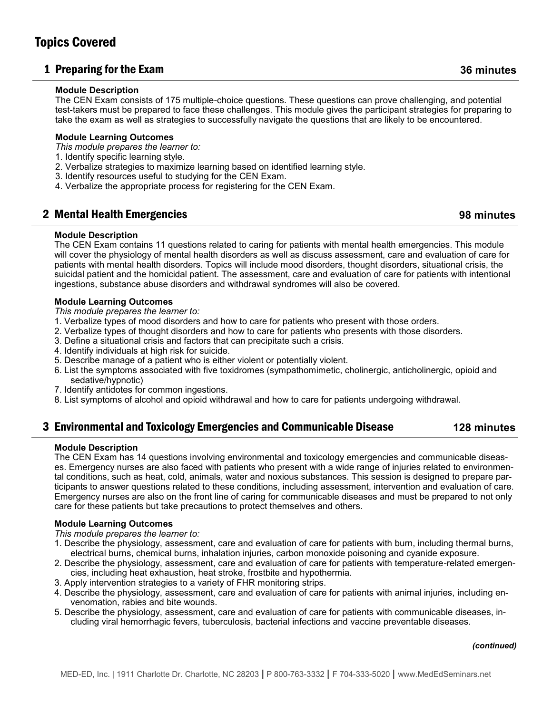## 1 Preparing for the Exam **36 minutes**

### **Module Description**

The CEN Exam consists of 175 multiple-choice questions. These questions can prove challenging, and potential test-takers must be prepared to face these challenges. This module gives the participant strategies for preparing to take the exam as well as strategies to successfully navigate the questions that are likely to be encountered.

### **Module Learning Outcomes**

*This module prepares the learner to:*

- 1. Identify specific learning style.
- 2. Verbalize strategies to maximize learning based on identified learning style.
- 3. Identify resources useful to studying for the CEN Exam.
- 4. Verbalize the appropriate process for registering for the CEN Exam.

## 2 Mental Health Emergencies **98 minutes**

### **Module Description**

The CEN Exam contains 11 questions related to caring for patients with mental health emergencies. This module will cover the physiology of mental health disorders as well as discuss assessment, care and evaluation of care for patients with mental health disorders. Topics will include mood disorders, thought disorders, situational crisis, the suicidal patient and the homicidal patient. The assessment, care and evaluation of care for patients with intentional ingestions, substance abuse disorders and withdrawal syndromes will also be covered.

### **Module Learning Outcomes**

*This module prepares the learner to:*

- 1. Verbalize types of mood disorders and how to care for patients who present with those orders.
- 2. Verbalize types of thought disorders and how to care for patients who presents with those disorders.
- 3. Define a situational crisis and factors that can precipitate such a crisis.
- 4. Identify individuals at high risk for suicide.
- 5. Describe manage of a patient who is either violent or potentially violent.
- 6. List the symptoms associated with five toxidromes (sympathomimetic, cholinergic, anticholinergic, opioid and sedative/hypnotic)
- 7. Identify antidotes for common ingestions.
- 8. List symptoms of alcohol and opioid withdrawal and how to care for patients undergoing withdrawal.

## 3 Environmental and Toxicology Emergencies and Communicable Disease **128 minutes**

### **Module Description**

The CEN Exam has 14 questions involving environmental and toxicology emergencies and communicable diseases. Emergency nurses are also faced with patients who present with a wide range of injuries related to environmental conditions, such as heat, cold, animals, water and noxious substances. This session is designed to prepare participants to answer questions related to these conditions, including assessment, intervention and evaluation of care. Emergency nurses are also on the front line of caring for communicable diseases and must be prepared to not only care for these patients but take precautions to protect themselves and others.

### **Module Learning Outcomes**

*This module prepares the learner to:*

- 1. Describe the physiology, assessment, care and evaluation of care for patients with burn, including thermal burns, electrical burns, chemical burns, inhalation injuries, carbon monoxide poisoning and cyanide exposure.
- 2. Describe the physiology, assessment, care and evaluation of care for patients with temperature-related emergencies, including heat exhaustion, heat stroke, frostbite and hypothermia.
- 3. Apply intervention strategies to a variety of FHR monitoring strips.
- 4. Describe the physiology, assessment, care and evaluation of care for patients with animal injuries, including envenomation, rabies and bite wounds.
- 5. Describe the physiology, assessment, care and evaluation of care for patients with communicable diseases, including viral hemorrhagic fevers, tuberculosis, bacterial infections and vaccine preventable diseases.

#### *(continued)*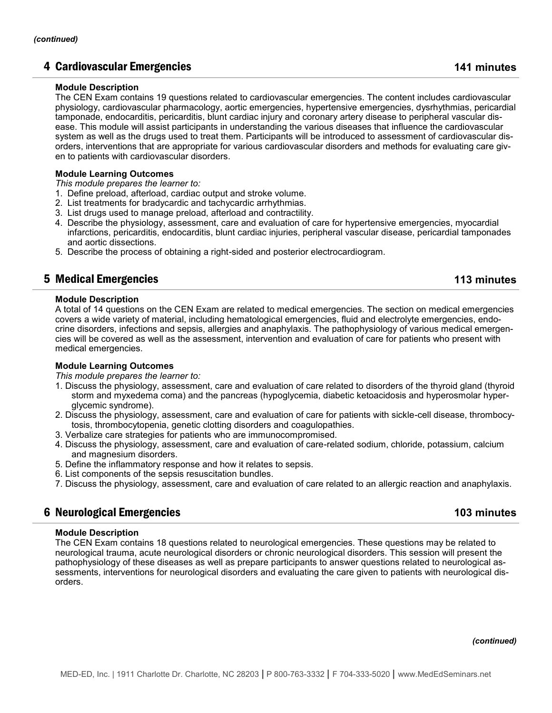## 4 Cardiovascular Emergencies **141 minutes**

### **Module Description**

The CEN Exam contains 19 questions related to cardiovascular emergencies. The content includes cardiovascular physiology, cardiovascular pharmacology, aortic emergencies, hypertensive emergencies, dysrhythmias, pericardial tamponade, endocarditis, pericarditis, blunt cardiac injury and coronary artery disease to peripheral vascular disease. This module will assist participants in understanding the various diseases that influence the cardiovascular system as well as the drugs used to treat them. Participants will be introduced to assessment of cardiovascular disorders, interventions that are appropriate for various cardiovascular disorders and methods for evaluating care given to patients with cardiovascular disorders.

### **Module Learning Outcomes**

*This module prepares the learner to:*

- 1. Define preload, afterload, cardiac output and stroke volume.
- 2. List treatments for bradycardic and tachycardic arrhythmias.
- 3. List drugs used to manage preload, afterload and contractility.
- 4. Describe the physiology, assessment, care and evaluation of care for hypertensive emergencies, myocardial infarctions, pericarditis, endocarditis, blunt cardiac injuries, peripheral vascular disease, pericardial tamponades and aortic dissections.
- 5. Describe the process of obtaining a right-sided and posterior electrocardiogram.

## 5 Medical Emergencies **113 minutes**

### **Module Description**

A total of 14 questions on the CEN Exam are related to medical emergencies. The section on medical emergencies covers a wide variety of material, including hematological emergencies, fluid and electrolyte emergencies, endocrine disorders, infections and sepsis, allergies and anaphylaxis. The pathophysiology of various medical emergencies will be covered as well as the assessment, intervention and evaluation of care for patients who present with medical emergencies.

### **Module Learning Outcomes**

*This module prepares the learner to:*

- 1. Discuss the physiology, assessment, care and evaluation of care related to disorders of the thyroid gland (thyroid storm and myxedema coma) and the pancreas (hypoglycemia, diabetic ketoacidosis and hyperosmolar hyperglycemic syndrome).
- 2. Discuss the physiology, assessment, care and evaluation of care for patients with sickle-cell disease, thrombocytosis, thrombocytopenia, genetic clotting disorders and coagulopathies.
- 3. Verbalize care strategies for patients who are immunocompromised.
- 4. Discuss the physiology, assessment, care and evaluation of care-related sodium, chloride, potassium, calcium and magnesium disorders.
- 5. Define the inflammatory response and how it relates to sepsis.
- 6. List components of the sepsis resuscitation bundles.
- 7. Discuss the physiology, assessment, care and evaluation of care related to an allergic reaction and anaphylaxis.

## 6 Neurological Emergencies **103 minutes**

### **Module Description**

The CEN Exam contains 18 questions related to neurological emergencies. These questions may be related to neurological trauma, acute neurological disorders or chronic neurological disorders. This session will present the pathophysiology of these diseases as well as prepare participants to answer questions related to neurological assessments, interventions for neurological disorders and evaluating the care given to patients with neurological disorders.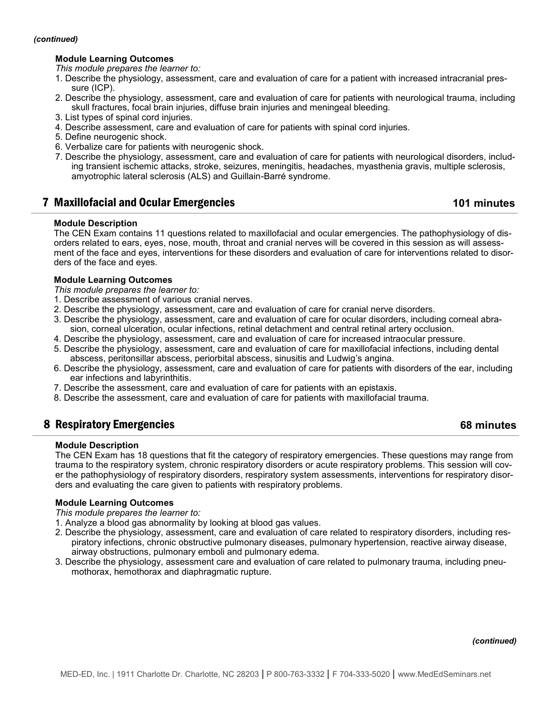#### *(continued)*

### **Module Learning Outcomes**

*This module prepares the learner to:*

- 1. Describe the physiology, assessment, care and evaluation of care for a patient with increased intracranial pressure (ICP).
- 2. Describe the physiology, assessment, care and evaluation of care for patients with neurological trauma, including skull fractures, focal brain injuries, diffuse brain injuries and meningeal bleeding.
- 3. List types of spinal cord injuries.
- 4. Describe assessment, care and evaluation of care for patients with spinal cord injuries.
- 5. Define neurogenic shock.
- 6. Verbalize care for patients with neurogenic shock.
- 7. Describe the physiology, assessment, care and evaluation of care for patients with neurological disorders, including transient ischemic attacks, stroke, seizures, meningitis, headaches, myasthenia gravis, multiple sclerosis, amyotrophic lateral sclerosis (ALS) and Guillain-Barré syndrome.

## 7 Maxillofacial and Ocular Emergencies **101 minutes**

### **Module Description**

The CEN Exam contains 11 questions related to maxillofacial and ocular emergencies. The pathophysiology of disorders related to ears, eyes, nose, mouth, throat and cranial nerves will be covered in this session as will assessment of the face and eyes, interventions for these disorders and evaluation of care for interventions related to disorders of the face and eyes.

#### **Module Learning Outcomes**

*This module prepares the learner to:*

- 1. Describe assessment of various cranial nerves.
- 2. Describe the physiology, assessment, care and evaluation of care for cranial nerve disorders.
- 3. Describe the physiology, assessment, care and evaluation of care for ocular disorders, including corneal abrasion, corneal ulceration, ocular infections, retinal detachment and central retinal artery occlusion.
- 4. Describe the physiology, assessment, care and evaluation of care for increased intraocular pressure.
- 5. Describe the physiology, assessment, care and evaluation of care for maxillofacial infections, including dental abscess, peritonsillar abscess, periorbital abscess, sinusitis and Ludwig's angina.
- 6. Describe the physiology, assessment, care and evaluation of care for patients with disorders of the ear, including ear infections and labyrinthitis.
- 7. Describe the assessment, care and evaluation of care for patients with an epistaxis.
- 8. Describe the assessment, care and evaluation of care for patients with maxillofacial trauma.

## 8 Respiratory Emergencies **68 minutes**

### **Module Description**

The CEN Exam has 18 questions that fit the category of respiratory emergencies. These questions may range from trauma to the respiratory system, chronic respiratory disorders or acute respiratory problems. This session will cover the pathophysiology of respiratory disorders, respiratory system assessments, interventions for respiratory disorders and evaluating the care given to patients with respiratory problems.

### **Module Learning Outcomes**

*This module prepares the learner to:*

- 1. Analyze a blood gas abnormality by looking at blood gas values.
- 2. Describe the physiology, assessment, care and evaluation of care related to respiratory disorders, including respiratory infections, chronic obstructive pulmonary diseases, pulmonary hypertension, reactive airway disease, airway obstructions, pulmonary emboli and pulmonary edema.
- 3. Describe the physiology, assessment care and evaluation of care related to pulmonary trauma, including pneumothorax, hemothorax and diaphragmatic rupture.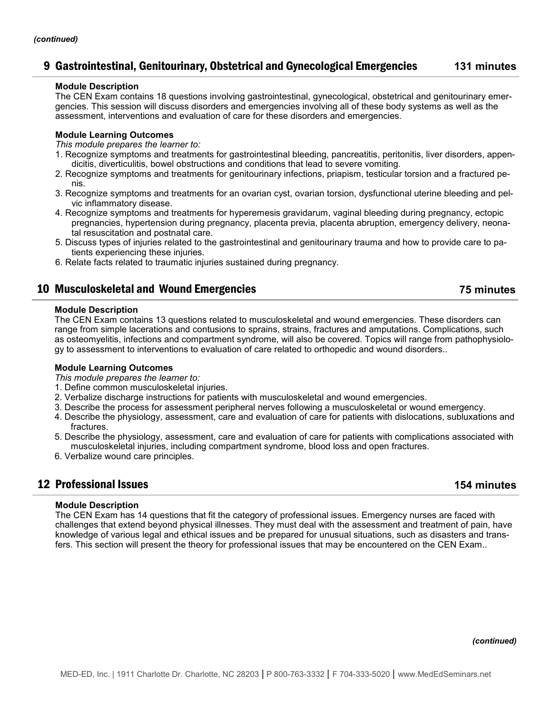## 9 Gastrointestinal, Genitourinary, Obstetrical and Gynecological Emergencies **131 minutes**

### **Module Description**

The CEN Exam contains 18 questions involving gastrointestinal, gynecological, obstetrical and genitourinary emergencies. This session will discuss disorders and emergencies involving all of these body systems as well as the assessment, interventions and evaluation of care for these disorders and emergencies.

### **Module Learning Outcomes**

*This module prepares the learner to:*

- 1. Recognize symptoms and treatments for gastrointestinal bleeding, pancreatitis, peritonitis, liver disorders, appendicitis, diverticulitis, bowel obstructions and conditions that lead to severe vomiting.
- 2. Recognize symptoms and treatments for genitourinary infections, priapism, testicular torsion and a fractured penis.
- 3. Recognize symptoms and treatments for an ovarian cyst, ovarian torsion, dysfunctional uterine bleeding and pelvic inflammatory disease.
- 4. Recognize symptoms and treatments for hyperemesis gravidarum, vaginal bleeding during pregnancy, ectopic pregnancies, hypertension during pregnancy, placenta previa, placenta abruption, emergency delivery, neonatal resuscitation and postnatal care.
- 5. Discuss types of injuries related to the gastrointestinal and genitourinary trauma and how to provide care to patients experiencing these injuries.
- 6. Relate facts related to traumatic injuries sustained during pregnancy.

## 10 Musculoskeletal and Wound Emergencies **75 minutes**

### **Module Description**

The CEN Exam contains 13 questions related to musculoskeletal and wound emergencies. These disorders can range from simple lacerations and contusions to sprains, strains, fractures and amputations. Complications, such as osteomyelitis, infections and compartment syndrome, will also be covered. Topics will range from pathophysiology to assessment to interventions to evaluation of care related to orthopedic and wound disorders..

### **Module Learning Outcomes**

*This module prepares the learner to:*

- 1. Define common musculoskeletal injuries.
- 2. Verbalize discharge instructions for patients with musculoskeletal and wound emergencies.
- 3. Describe the process for assessment peripheral nerves following a musculoskeletal or wound emergency.
- 4. Describe the physiology, assessment, care and evaluation of care for patients with dislocations, subluxations and fractures.
- 5. Describe the physiology, assessment, care and evaluation of care for patients with complications associated with musculoskeletal injuries, including compartment syndrome, blood loss and open fractures.
- 6. Verbalize wound care principles.

## 12 Professional Issues **154 minutes**

### **Module Description**

The CEN Exam has 14 questions that fit the category of professional issues. Emergency nurses are faced with challenges that extend beyond physical illnesses. They must deal with the assessment and treatment of pain, have knowledge of various legal and ethical issues and be prepared for unusual situations, such as disasters and transfers. This section will present the theory for professional issues that may be encountered on the CEN Exam..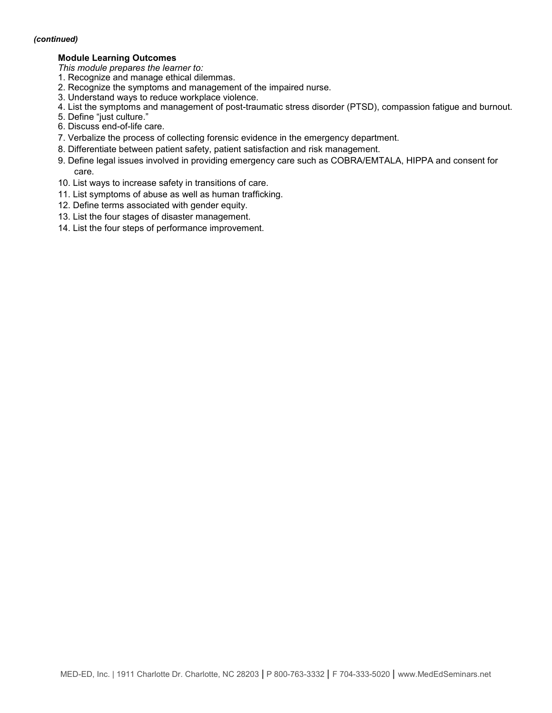#### *(continued)*

### **Module Learning Outcomes**

*This module prepares the learner to:*

- 1. Recognize and manage ethical dilemmas.
- 2. Recognize the symptoms and management of the impaired nurse.
- 3. Understand ways to reduce workplace violence.
- 4. List the symptoms and management of post-traumatic stress disorder (PTSD), compassion fatigue and burnout.
- 5. Define "just culture."
- 6. Discuss end-of-life care.
- 7. Verbalize the process of collecting forensic evidence in the emergency department.
- 8. Differentiate between patient safety, patient satisfaction and risk management.
- 9. Define legal issues involved in providing emergency care such as COBRA/EMTALA, HIPPA and consent for care.
- 10. List ways to increase safety in transitions of care.
- 11. List symptoms of abuse as well as human trafficking.
- 12. Define terms associated with gender equity.
- 13. List the four stages of disaster management.
- 14. List the four steps of performance improvement.